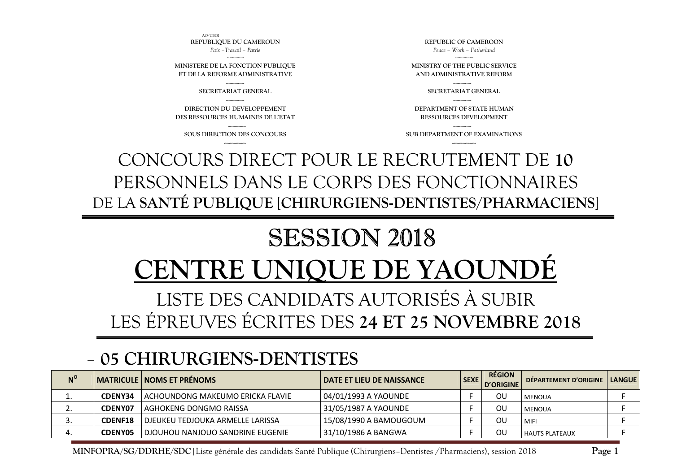**MINFOPRA/SG/DDRHE/SDC**|Liste générale des candidats Santé Publique (Chirurgiens–Dentistes /Pharmaciens), session 2018

#### **05 CHIRURGIENS-DENTISTES N<sup>o</sup>** MATRICULE</sub> NOMS ET PRÉNOMS **NOMS ET PRÉNOMS**  $\begin{bmatrix} 1 & 0 & 0 \end{bmatrix}$  **DATE ET LIEU DE NAISSANCE**  $\begin{bmatrix} 1 & 0 & 0 \end{bmatrix}$  **DÉPARTEMENT D'ORIGINE** 1.**CDENY34** ACHOUNDONG MAKEUMO ERICKA FLAVIE  $\vert$  04/01/1993 A YAOUNDE F OU MENOUA  $A$  F 2.**CDENY07** AGHOKENG DONGMO RAISSA  $31/05/1987$  A YAOUNDE F OU MENOUA F F 3.**CDENF18** DJEUKEU TEDJOUKA ARMELLE LARISSA 15/08/1990 A BAMOUGOUM F F OU MIFI F F OU FOU 4.**CDENY05** DJOUHOU NANJOUO SANDRINE EUGENIE 31/10/1986 A BANGWA F F OU HAUTS PLATEAUX F F

## LES ÉPREUVES ÉCRITES DES **24 ET 25 NOVEMBRE 2018**

# **ENTRE UNIOUE DE YAOUN**

LISTE DES CANDIDATS AUTORISÉS À SUBIR

# SESSION 2018

CONCOURS DIRECT POUR LE RECRUTEMENT DE **10** PERSONNELS DANS LE CORPS DES FONCTIONNAIRES DE LA **SANTÉ PUBLIQUE** [**CHIRURGIENS-DENTISTES/PHARMACIENS**]

--------------- **SOUS DIRECTION DES CONCOURS ------------------**

**DIRECTION DU DEVELOPPEMENT DES RESSOURCES HUMAINES DE L'ETAT** 

--------------- **SECRETARIAT GENERAL** ---------------

-------------- **MINISTERE DE LA FONCTION PUBLIQUE ET DE LA REFORME ADMINISTRATIVE**

AO/CBGI **REPUBLIQUE DU CAMEROUN** *Paix –Travail – Patrie* 

> --------------- **SUB DEPARTMENT OF EXAMINATIONS**

--------------- **DEPARTMENT OF STATE HUMAN RESSOURCES DEVELOPMENT** 

--------------- **SECRETARIAT GENERAL** 

--------------- **MINISTRY OF THE PUBLIC SERVICE AND ADMINISTRATIVE REFORM** 

**REPUBLIC OF CAMEROON** *Peace – Work – Fatherland*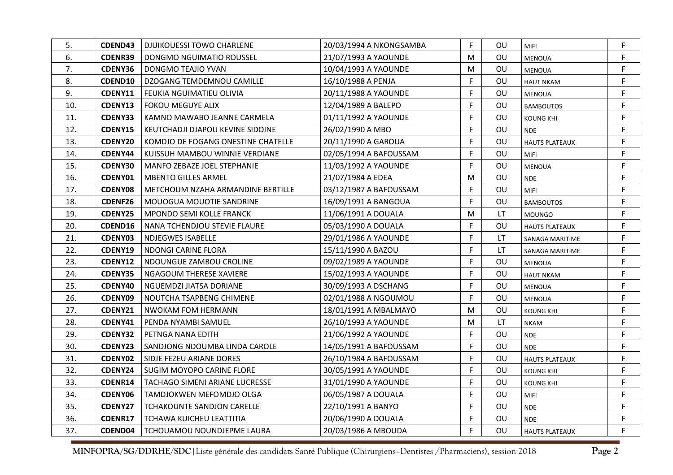| 5.  | <b>CDEND43</b> | <b>DJUIKOUESSI TOWO CHARLENE</b>   | 20/03/1994 A NKONGSAMBA | F  | OU.       | <b>MIFI</b>           | F  |
|-----|----------------|------------------------------------|-------------------------|----|-----------|-----------------------|----|
| 6.  | <b>CDENR39</b> | DONGMO NGUIMATIO ROUSSEL           | 21/07/1993 A YAOUNDE    | M  | OU        | <b>MENOUA</b>         | F  |
| 7.  | <b>CDENY36</b> | DONGMO TEAJIO YVAN                 | 10/04/1993 A YAOUNDE    | M  | OU        | <b>MENOUA</b>         | F  |
| 8.  | <b>CDEND10</b> | DZOGANG TEMDEMNOU CAMILLE          | 16/10/1988 A PENJA      | F. | OU        | <b>HAUT NKAM</b>      | F. |
| 9.  | <b>CDENY11</b> | FEUKIA NGUIMATIEU OLIVIA           | 20/11/1988 A YAOUNDE    | F  | OU        | <b>MENOUA</b>         | F  |
| 10. | CDENY13        | <b>FOKOU MEGUYE ALIX</b>           | 12/04/1989 A BALEPO     | F  | OU        | <b>BAMBOUTOS</b>      | F  |
| 11. | <b>CDENY33</b> | KAMNO MAWABO JEANNE CARMELA        | 01/11/1992 A YAOUNDE    | F. | 0U        | <b>KOUNG KHI</b>      | F  |
| 12. | <b>CDENY15</b> | KEUTCHADJI DJAPOU KEVINE SIDOINE   | 26/02/1990 A MBO        | F. | OU        | <b>NDE</b>            | F  |
| 13. | <b>CDENY20</b> | KOMDJO DE FOGANG ONESTINE CHATELLE | 20/11/1990 A GAROUA     | F  | 0U        | <b>HAUTS PLATEAUX</b> | F. |
| 14. | CDENY44        | KUISSUH MAMBOU WINNIE VERDIANE     | 02/05/1994 A BAFOUSSAM  | F. | OU        | <b>MIFI</b>           | F  |
| 15. | <b>CDENY30</b> | MANFO ZEBAZE JOEL STEPHANIE        | 11/03/1992 A YAOUNDE    | F. | 0U        | <b>MENOUA</b>         | F  |
| 16. | <b>CDENY01</b> | <b>MBENTO GILLES ARMEL</b>         | 21/07/1984 A EDEA       | M  | OU        | <b>NDE</b>            | F  |
| 17. | <b>CDENY08</b> | METCHOUM NZAHA ARMANDINE BERTILLE  | 03/12/1987 A BAFOUSSAM  | F  | 0U        | MIFI                  | F  |
| 18. | <b>CDENF26</b> | MOUOGUA MOUOTIE SANDRINE           | 16/09/1991 A BANGOUA    | F. | OU        | <b>BAMBOUTOS</b>      | F  |
| 19. | <b>CDENY25</b> | <b>MPONDO SEMI KOLLE FRANCK</b>    | 11/06/1991 A DOUALA     | M  | LT        | <b>MOUNGO</b>         | F. |
| 20. | <b>CDEND16</b> | NANA TCHENDJOU STEVIE FLAURE       | 05/03/1990 A DOUALA     | F. | 0U        | <b>HAUTS PLATEAUX</b> | F  |
| 21. | <b>CDENY03</b> | <b>NDJEGWES ISABELLE</b>           | 29/01/1986 A YAOUNDE    | F  | LT.       | SANAGA MARITIME       | F  |
| 22. | CDENY19        | NDONGI CARINE FLORA                | 15/11/1990 A BAZOU      | F. | LT.       | SANAGA MARITIME       | F  |
| 23. | <b>CDENY12</b> | NDOUNGUE ZAMBOU CROLINE            | 09/02/1989 A YAOUNDE    | F. | 0U        | MENOUA                | F  |
| 24. | <b>CDENY35</b> | NGAGOUM THERESE XAVIERE            | 15/02/1993 A YAOUNDE    | F  | 0U        | <b>HAUT NKAM</b>      | F. |
| 25. | CDENY40        | NGUEMDZI JIATSA DORIANE            | 30/09/1993 A DSCHANG    | F  | OU.       | MENOUA                | F  |
| 26. | CDENY09        | NOUTCHA TSAPBENG CHIMENE           | 02/01/1988 A NGOUMOU    | F  | OU        | <b>MENOUA</b>         | F  |
| 27. | CDENY21        | <b>NWOKAM FOM HERMANN</b>          | 18/01/1991 A MBALMAYO   | M  | OU        | <b>KOUNG KHI</b>      | F  |
| 28. | CDENY41        | PENDA NYAMBI SAMUEL                | 26/10/1993 A YAOUNDE    | M  | <b>LT</b> | <b>NKAM</b>           | F  |
| 29. | <b>CDENY32</b> | PETNGA NANA EDITH                  | 21/06/1992 A YAOUNDE    | F  | OU        | <b>NDE</b>            | F  |
| 30. | <b>CDENY23</b> | SANDJONG NDOUMBA LINDA CAROLE      | 14/05/1991 A BAFOUSSAM  | F. | OU        | <b>NDE</b>            | F  |
| 31. | CDENY02        | SIDJE FEZEU ARIANE DORES           | 26/10/1984 A BAFOUSSAM  | F  | OU        | <b>HAUTS PLATEAUX</b> | F  |
| 32. | CDENY24        | SUGIM MOYOPO CARINE FLORE          | 30/05/1991 A YAOUNDE    | F  | 0U        | <b>KOUNG KHI</b>      | F  |
| 33. | <b>CDENR14</b> | TACHAGO SIMENI ARIANE LUCRESSE     | 31/01/1990 A YAOUNDE    | F  | OU        | <b>KOUNG KHI</b>      | F  |
| 34. | <b>CDENY06</b> | TAMDJOKWEN MEFOMDJO OLGA           | 06/05/1987 A DOUALA     | F  | OU        | <b>MIFI</b>           | F  |
| 35. | CDENY27        | <b>TCHAKOUNTE SANDJON CARELLE</b>  | 22/10/1991 A BANYO      | F  | OU        | <b>NDE</b>            | F  |
| 36. | CDENR17        | TCHAWA KUICHEU LEATTITIA           | 20/06/1990 A DOUALA     | F. | OU        | <b>NDE</b>            | F  |
| 37. | CDEND04        | TCHOUAMOU NOUNDJEPME LAURA         | 20/03/1986 A MBOUDA     | F  | 0U        | <b>HAUTS PLATEAUX</b> | F  |

**MINFOPRA/SG/DDRHE/SDC**|Liste générale des candidats Santé Publique (Chirurgiens–Dentistes /Pharmaciens), session 2018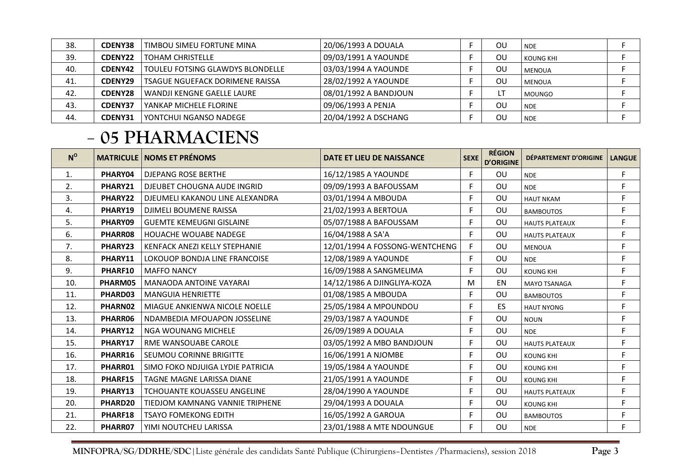| 38. | <b>CDENY38</b> | TIMBOU SIMEU FORTUNE MINA        | 20/06/1993 A DOUALA   | ΟU | <b>NDE</b>    |  |
|-----|----------------|----------------------------------|-----------------------|----|---------------|--|
| 39. | CDENY22        | <b>TOHAM CHRISTELLE</b>          | 09/03/1991 A YAOUNDE  | OU | KOUNG KHI     |  |
| 40. | CDENY42        | TOULEU FOTSING GLAWDYS BLONDELLE | 03/03/1994 A YAOUNDE  | OU | <b>MENOUA</b> |  |
| 41. | CDENY29        | TSAGUE NGUEFACK DORIMENE RAISSA  | 28/02/1992 A YAOUNDE  | OU | <b>MENOUA</b> |  |
| 42. | <b>CDENY28</b> | WANDJI KENGNE GAELLE LAURE       | 08/01/1992 A BANDJOUN |    | <b>MOUNGO</b> |  |
| 43. | <b>CDENY37</b> | YANKAP MICHELE FLORINE           | 09/06/1993 A PENJA    | OU | <b>NDE</b>    |  |
| 44. | CDENY31        | YONTCHUI NGANSO NADEGE           | 20/04/1992 A DSCHANG  | ΟU | <b>NDE</b>    |  |

### **05 PHARMACIENS**

| $N^{\rm o}$ |         | <b>MATRICULE   NOMS ET PRÉNOMS</b> | DATE ET LIEU DE NAISSANCE      | <b>SEXE</b> | <b>RÉGION</b><br><b>D'ORIGINE</b> | DÉPARTEMENT D'ORIGINE | <b>LANGUE</b> |
|-------------|---------|------------------------------------|--------------------------------|-------------|-----------------------------------|-----------------------|---------------|
| 1.          | PHARY04 | <b>DJEPANG ROSE BERTHE</b>         | 16/12/1985 A YAOUNDE           | F           | OU                                | <b>NDE</b>            | F.            |
| 2.          | PHARY21 | DJEUBET CHOUGNA AUDE INGRID        | 09/09/1993 A BAFOUSSAM         | F           | OU                                | <b>NDE</b>            | F             |
| 3.          | PHARY22 | DJEUMELI KAKANOU LINE ALEXANDRA    | 03/01/1994 A MBOUDA            | F           | OU                                | <b>HAUT NKAM</b>      | F             |
| 4.          | PHARY19 | DJIMELI BOUMENE RAISSA             | 21/02/1993 A BERTOUA           | F           | OU                                | <b>BAMBOUTOS</b>      | F.            |
| 5.          | PHARY09 | <b>GUEMTE KEMEUGNI GISLAINE</b>    | 05/07/1988 A BAFOUSSAM         | F           | OU                                | <b>HAUTS PLATEAUX</b> | F.            |
| 6.          | PHARR08 | HOUACHE WOUABE NADEGE              | 16/04/1988 A SA'A              | F           | OU                                | <b>HAUTS PLATEAUX</b> | F.            |
| 7.          | PHARY23 | KENFACK ANEZI KELLY STEPHANIE      | 12/01/1994 A FOSSONG-WENTCHENG | F           | OU                                | <b>MENOUA</b>         | F.            |
| 8.          | PHARY11 | LOKOUOP BONDJA LINE FRANCOISE      | 12/08/1989 A YAOUNDE           | F.          | OU                                | <b>NDE</b>            | F.            |
| 9.          | PHARF10 | <b>MAFFO NANCY</b>                 | 16/09/1988 A SANGMELIMA        | F           | OU                                | <b>KOUNG KHI</b>      | F             |
| 10.         | PHARM05 | <b>MANAODA ANTOINE VAYARAI</b>     | 14/12/1986 A DJINGLIYA-KOZA    | M           | EN                                | <b>MAYO TSANAGA</b>   | F.            |
| 11.         | PHARD03 | <b>MANGUIA HENRIETTE</b>           | 01/08/1985 A MBOUDA            | F           | OU                                | <b>BAMBOUTOS</b>      | F.            |
| 12.         | PHARN02 | MIAGUE ANKIENWA NICOLE NOELLE      | 25/05/1984 A MPOUNDOU          | F           | <b>ES</b>                         | <b>HAUT NYONG</b>     | F             |
| 13.         | PHARR06 | NDAMBEDIA MFOUAPON JOSSELINE       | 29/03/1987 A YAOUNDE           | F           | OU                                | <b>NOUN</b>           | F             |
| 14.         | PHARY12 | <b>NGA WOUNANG MICHELE</b>         | 26/09/1989 A DOUALA            | F           | OU                                | <b>NDE</b>            | F.            |
| 15.         | PHARY17 | RME WANSOUABE CAROLE               | 03/05/1992 A MBO BANDJOUN      | F           | OU                                | <b>HAUTS PLATEAUX</b> | F             |
| 16.         | PHARR16 | SEUMOU CORINNE BRIGITTE            | 16/06/1991 A NJOMBE            | F           | OU                                | <b>KOUNG KHI</b>      | F             |
| 17.         | PHARR01 | SIMO FOKO NDJUIGA LYDIE PATRICIA   | 19/05/1984 A YAOUNDE           | F           | OU                                | <b>KOUNG KHI</b>      | F             |
| 18.         | PHARF15 | TAGNE MAGNE LARISSA DIANE          | 21/05/1991 A YAOUNDE           | F           | OU                                | <b>KOUNG KHI</b>      | F.            |
| 19.         | PHARY13 | <b>TCHOUANTE KOUASSEU ANGELINE</b> | 28/04/1990 A YAOUNDE           | F           | OU                                | <b>HAUTS PLATEAUX</b> | F.            |
| 20.         | PHARD20 | TIEDJOM KAMNANG VANNIE TRIPHENE    | 29/04/1993 A DOUALA            | F           | OU                                | <b>KOUNG KHI</b>      | F.            |
| 21.         | PHARF18 | <b>TSAYO FOMEKONG EDITH</b>        | 16/05/1992 A GAROUA            | F.          | OU                                | <b>BAMBOUTOS</b>      | F.            |
| 22.         | PHARR07 | YIMI NOUTCHEU LARISSA              | 23/01/1988 A MTE NDOUNGUE      | F           | OU                                | <b>NDE</b>            | F             |